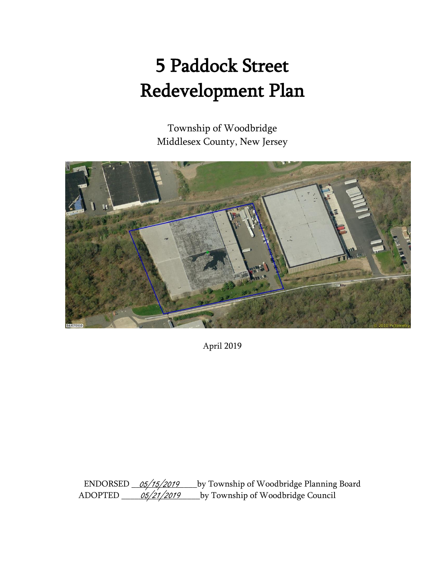# 5 Paddock Street Redevelopment Plan

Township of Woodbridge Middlesex County, New Jersey



April 2019

Ly Township of Woodbridge Planning Board by Township of Woodbridge Council <u>05/15/2019</u> <u>05/21/2019</u>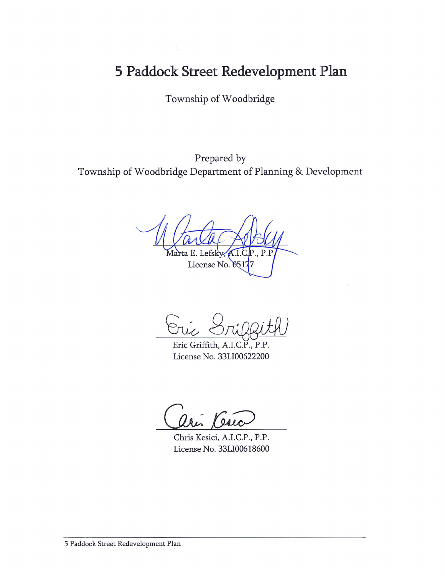## 5 Paddock Street Redevelopment Plan

Township of Woodbridge

Prepared by Township of Woodbridge Department of Planning & Development

Lefsk рŗ License No. 0517

Oric

Eric Griffith, A.I.C.P., P.P. License No. 33LI00622200

Vesic

Chris Kesici, A.I.C.P., P.P. License No. 33LI00618600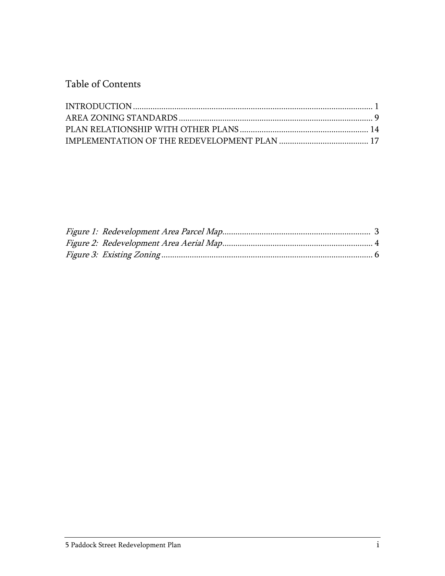Table of Contents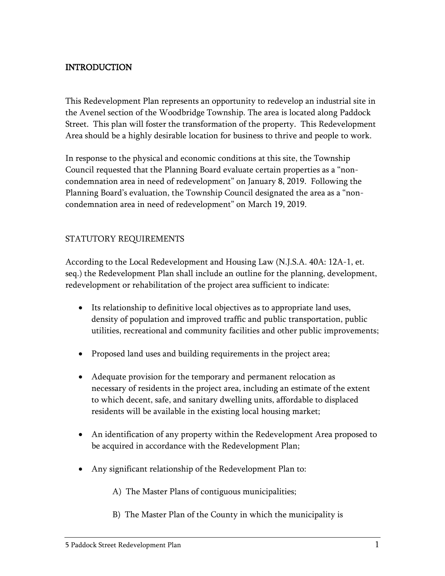## <span id="page-3-0"></span>INTRODUCTION

This Redevelopment Plan represents an opportunity to redevelop an industrial site in the Avenel section of the Woodbridge Township. The area is located along Paddock Street. This plan will foster the transformation of the property. This Redevelopment Area should be a highly desirable location for business to thrive and people to work.

In response to the physical and economic conditions at this site, the Township Council requested that the Planning Board evaluate certain properties as a "noncondemnation area in need of redevelopment" on January 8, 2019. Following the Planning Board's evaluation, the Township Council designated the area as a "noncondemnation area in need of redevelopment" on March 19, 2019.

#### STATUTORY REQUIREMENTS

According to the Local Redevelopment and Housing Law (N.J.S.A. 40A: 12A-1, et. seq.) the Redevelopment Plan shall include an outline for the planning, development, redevelopment or rehabilitation of the project area sufficient to indicate:

- Its relationship to definitive local objectives as to appropriate land uses, density of population and improved traffic and public transportation, public utilities, recreational and community facilities and other public improvements;
- Proposed land uses and building requirements in the project area;
- Adequate provision for the temporary and permanent relocation as necessary of residents in the project area, including an estimate of the extent to which decent, safe, and sanitary dwelling units, affordable to displaced residents will be available in the existing local housing market;
- An identification of any property within the Redevelopment Area proposed to be acquired in accordance with the Redevelopment Plan;
- Any significant relationship of the Redevelopment Plan to:
	- A) The Master Plans of contiguous municipalities;
	- B) The Master Plan of the County in which the municipality is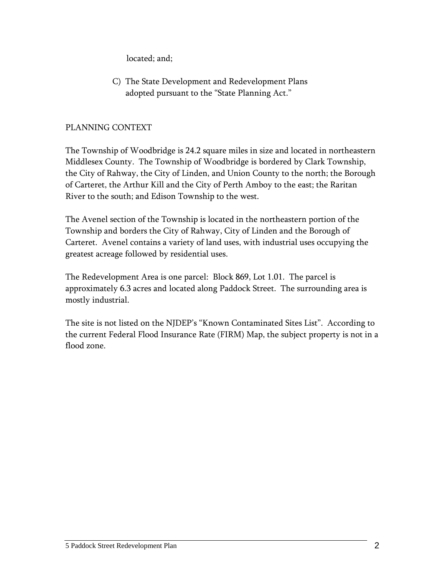located; and;

C) The State Development and Redevelopment Plans adopted pursuant to the "State Planning Act."

## PLANNING CONTEXT

The Township of Woodbridge is 24.2 square miles in size and located in northeastern Middlesex County. The Township of Woodbridge is bordered by Clark Township, the City of Rahway, the City of Linden, and Union County to the north; the Borough of Carteret, the Arthur Kill and the City of Perth Amboy to the east; the Raritan River to the south; and Edison Township to the west.

The Avenel section of the Township is located in the northeastern portion of the Township and borders the City of Rahway, City of Linden and the Borough of Carteret. Avenel contains a variety of land uses, with industrial uses occupying the greatest acreage followed by residential uses.

The Redevelopment Area is one parcel: Block 869, Lot 1.01. The parcel is approximately 6.3 acres and located along Paddock Street. The surrounding area is mostly industrial.

<span id="page-4-0"></span>The site is not listed on the NJDEP's "Known Contaminated Sites List". According to the current Federal Flood Insurance Rate (FIRM) Map, the subject property is not in a flood zone.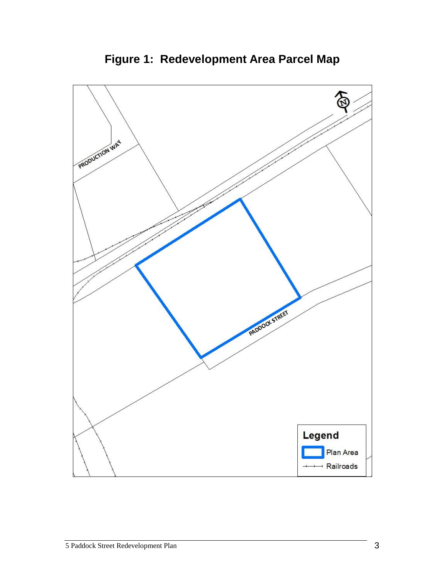

**Figure 1: Redevelopment Area Parcel Map**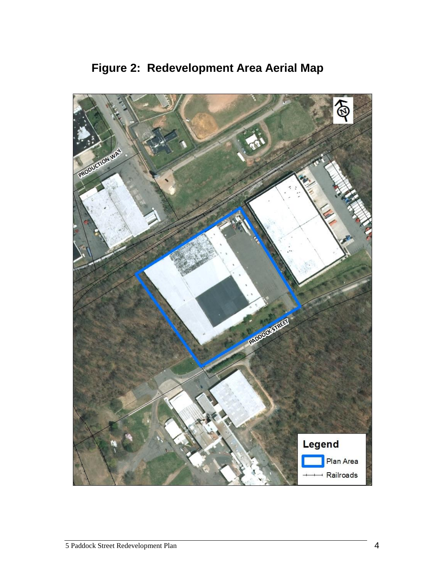<span id="page-6-0"></span>

**Figure 2: Redevelopment Area Aerial Map**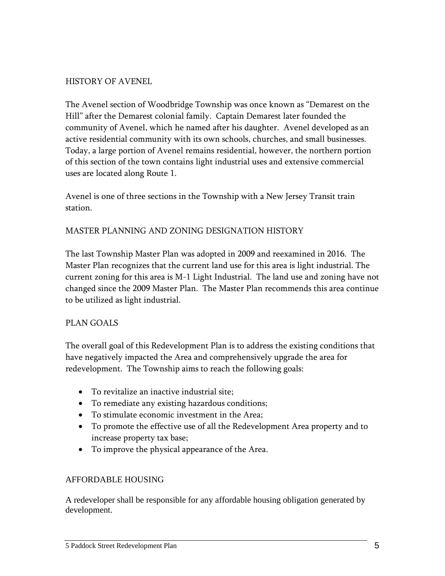#### HISTORY OF AVENEL

The Avenel section of Woodbridge Township was once known as "Demarest on the Hill" after the Demarest colonial family. Captain Demarest later founded the community of Avenel, which he named after his daughter. Avenel developed as an active residential community with its own schools, churches, and small businesses. Today, a large portion of Avenel remains residential, however, the northern portion of this section of the town contains light industrial uses and extensive commercial uses are located along Route 1.

Avenel is one of three sections in the Township with a New Jersey Transit train station.

#### MASTER PLANNING AND ZONING DESIGNATION HISTORY

The last Township Master Plan was adopted in 2009 and reexamined in 2016. The Master Plan recognizes that the current land use for this area is light industrial. The current zoning for this area is M-1 Light Industrial. The land use and zoning have not changed since the 2009 Master Plan. The Master Plan recommends this area continue to be utilized as light industrial.

## PLAN GOALS

The overall goal of this Redevelopment Plan is to address the existing conditions that have negatively impacted the Area and comprehensively upgrade the area for redevelopment. The Township aims to reach the following goals:

- To revitalize an inactive industrial site;
- To remediate any existing hazardous conditions;
- To stimulate economic investment in the Area;
- To promote the effective use of all the Redevelopment Area property and to increase property tax base;
- To improve the physical appearance of the Area.

#### AFFORDABLE HOUSING

A redeveloper shall be responsible for any affordable housing obligation generated by development.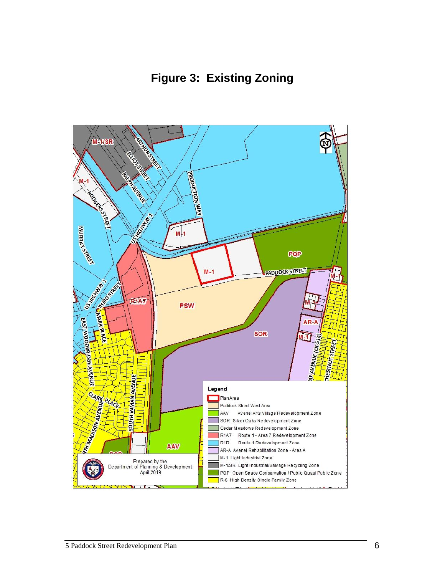

<span id="page-8-0"></span>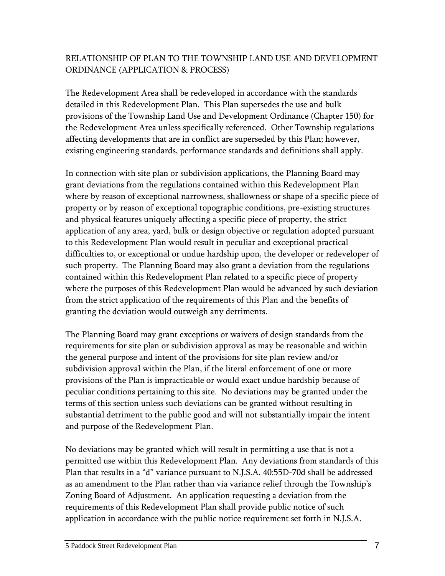## RELATIONSHIP OF PLAN TO THE TOWNSHIP LAND USE AND DEVELOPMENT ORDINANCE (APPLICATION & PROCESS)

The Redevelopment Area shall be redeveloped in accordance with the standards detailed in this Redevelopment Plan. This Plan supersedes the use and bulk provisions of the Township Land Use and Development Ordinance (Chapter 150) for the Redevelopment Area unless specifically referenced. Other Township regulations affecting developments that are in conflict are superseded by this Plan; however, existing engineering standards, performance standards and definitions shall apply.

In connection with site plan or subdivision applications, the Planning Board may grant deviations from the regulations contained within this Redevelopment Plan where by reason of exceptional narrowness, shallowness or shape of a specific piece of property or by reason of exceptional topographic conditions, pre-existing structures and physical features uniquely affecting a specific piece of property, the strict application of any area, yard, bulk or design objective or regulation adopted pursuant to this Redevelopment Plan would result in peculiar and exceptional practical difficulties to, or exceptional or undue hardship upon, the developer or redeveloper of such property. The Planning Board may also grant a deviation from the regulations contained within this Redevelopment Plan related to a specific piece of property where the purposes of this Redevelopment Plan would be advanced by such deviation from the strict application of the requirements of this Plan and the benefits of granting the deviation would outweigh any detriments.

The Planning Board may grant exceptions or waivers of design standards from the requirements for site plan or subdivision approval as may be reasonable and within the general purpose and intent of the provisions for site plan review and/or subdivision approval within the Plan, if the literal enforcement of one or more provisions of the Plan is impracticable or would exact undue hardship because of peculiar conditions pertaining to this site. No deviations may be granted under the terms of this section unless such deviations can be granted without resulting in substantial detriment to the public good and will not substantially impair the intent and purpose of the Redevelopment Plan.

No deviations may be granted which will result in permitting a use that is not a permitted use within this Redevelopment Plan. Any deviations from standards of this Plan that results in a "d" variance pursuant to N.J.S.A. 40:55D-70d shall be addressed as an amendment to the Plan rather than via variance relief through the Township's Zoning Board of Adjustment. An application requesting a deviation from the requirements of this Redevelopment Plan shall provide public notice of such application in accordance with the public notice requirement set forth in N.J.S.A.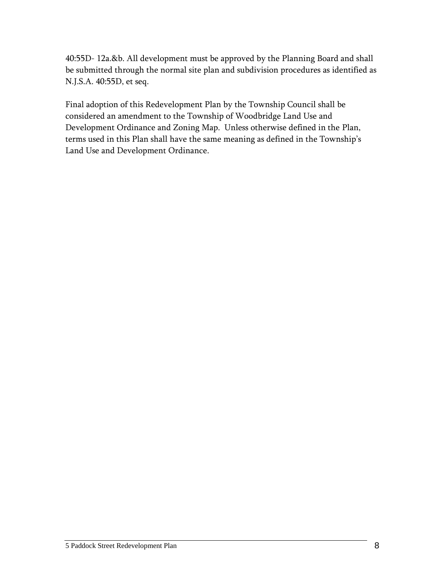40:55D- 12a.&b. All development must be approved by the Planning Board and shall be submitted through the normal site plan and subdivision procedures as identified as N.J.S.A. 40:55D, et seq.

Final adoption of this Redevelopment Plan by the Township Council shall be considered an amendment to the Township of Woodbridge Land Use and Development Ordinance and Zoning Map. Unless otherwise defined in the Plan, terms used in this Plan shall have the same meaning as defined in the Township's Land Use and Development Ordinance.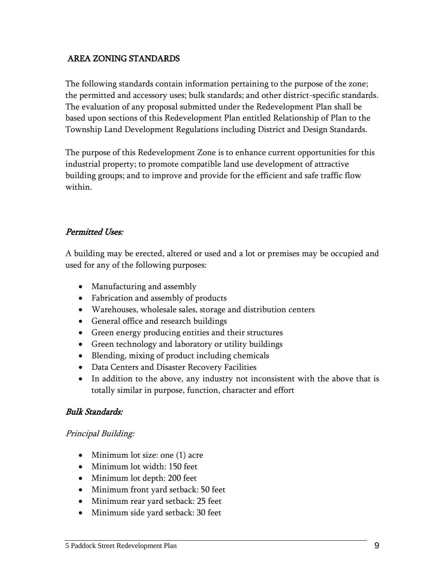## <span id="page-11-0"></span>AREA ZONING STANDARDS

The following standards contain information pertaining to the purpose of the zone; the permitted and accessory uses; bulk standards; and other district-specific standards. The evaluation of any proposal submitted under the Redevelopment Plan shall be based upon sections of this Redevelopment Plan entitled Relationship of Plan to the Township Land Development Regulations including District and Design Standards.

The purpose of this Redevelopment Zone is to enhance current opportunities for this industrial property; to promote compatible land use development of attractive building groups; and to improve and provide for the efficient and safe traffic flow within.

#### Permitted Uses:

A building may be erected, altered or used and a lot or premises may be occupied and used for any of the following purposes:

- Manufacturing and assembly
- Fabrication and assembly of products
- Warehouses, wholesale sales, storage and distribution centers
- General office and research buildings
- Green energy producing entities and their structures
- Green technology and laboratory or utility buildings
- Blending, mixing of product including chemicals
- Data Centers and Disaster Recovery Facilities
- In addition to the above, any industry not inconsistent with the above that is totally similar in purpose, function, character and effort

#### Bulk Standards:

#### Principal Building:

- Minimum lot size: one (1) acre
- Minimum lot width: 150 feet
- Minimum lot depth: 200 feet
- Minimum front yard setback: 50 feet
- Minimum rear yard setback: 25 feet
- Minimum side yard setback: 30 feet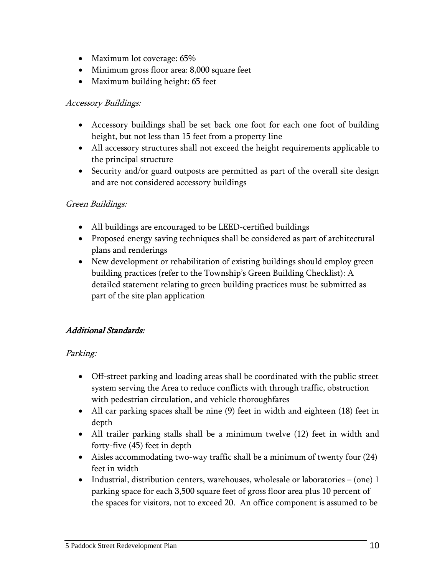- Maximum lot coverage: 65%
- Minimum gross floor area: 8,000 square feet
- Maximum building height: 65 feet

#### Accessory Buildings:

- Accessory buildings shall be set back one foot for each one foot of building height, but not less than 15 feet from a property line
- All accessory structures shall not exceed the height requirements applicable to the principal structure
- Security and/or guard outposts are permitted as part of the overall site design and are not considered accessory buildings

## Green Buildings:

- All buildings are encouraged to be LEED-certified buildings
- Proposed energy saving techniques shall be considered as part of architectural plans and renderings
- New development or rehabilitation of existing buildings should employ green building practices (refer to the Township's Green Building Checklist): A detailed statement relating to green building practices must be submitted as part of the site plan application

## Additional Standards:

## Parking:

- Off-street parking and loading areas shall be coordinated with the public street system serving the Area to reduce conflicts with through traffic, obstruction with pedestrian circulation, and vehicle thoroughfares
- All car parking spaces shall be nine (9) feet in width and eighteen (18) feet in depth
- All trailer parking stalls shall be a minimum twelve (12) feet in width and forty-five (45) feet in depth
- Aisles accommodating two-way traffic shall be a minimum of twenty four (24) feet in width
- Industrial, distribution centers, warehouses, wholesale or laboratories  $-$  (one) 1 parking space for each 3,500 square feet of gross floor area plus 10 percent of the spaces for visitors, not to exceed 20. An office component is assumed to be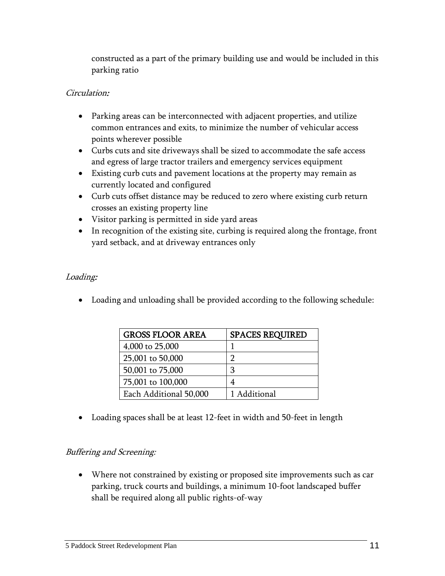constructed as a part of the primary building use and would be included in this parking ratio

## Circulation:

- Parking areas can be interconnected with adjacent properties, and utilize common entrances and exits, to minimize the number of vehicular access points wherever possible
- Curbs cuts and site driveways shall be sized to accommodate the safe access and egress of large tractor trailers and emergency services equipment
- Existing curb cuts and pavement locations at the property may remain as currently located and configured
- Curb cuts offset distance may be reduced to zero where existing curb return crosses an existing property line
- Visitor parking is permitted in side yard areas
- In recognition of the existing site, curbing is required along the frontage, front yard setback, and at driveway entrances only

## Loading:

Loading and unloading shall be provided according to the following schedule:

| <b>GROSS FLOOR AREA</b> | <b>SPACES REQUIRED</b> |
|-------------------------|------------------------|
| 4,000 to 25,000         |                        |
| 25,001 to 50,000        | ר                      |
| 50,001 to 75,000        | З                      |
| 75,001 to 100,000       |                        |
| Each Additional 50,000  | 1 Additional           |

Loading spaces shall be at least 12-feet in width and 50-feet in length

## Buffering and Screening:

 Where not constrained by existing or proposed site improvements such as car parking, truck courts and buildings, a minimum 10-foot landscaped buffer shall be required along all public rights-of-way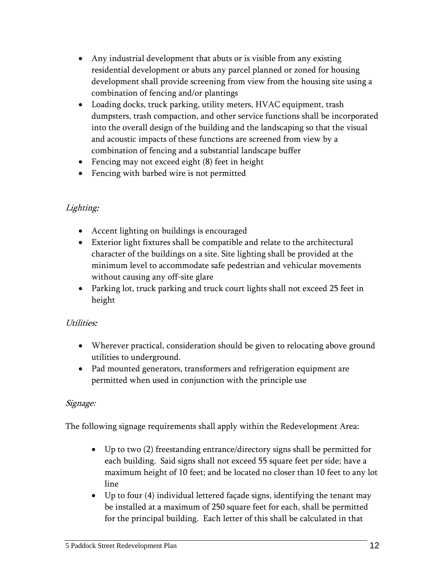- Any industrial development that abuts or is visible from any existing residential development or abuts any parcel planned or zoned for housing development shall provide screening from view from the housing site using a combination of fencing and/or plantings
- Loading docks, truck parking, utility meters, HVAC equipment, trash dumpsters, trash compaction, and other service functions shall be incorporated into the overall design of the building and the landscaping so that the visual and acoustic impacts of these functions are screened from view by a combination of fencing and a substantial landscape buffer
- Fencing may not exceed eight (8) feet in height
- Fencing with barbed wire is not permitted

## Lighting:

- Accent lighting on buildings is encouraged
- Exterior light fixtures shall be compatible and relate to the architectural character of the buildings on a site. Site lighting shall be provided at the minimum level to accommodate safe pedestrian and vehicular movements without causing any off-site glare
- Parking lot, truck parking and truck court lights shall not exceed 25 feet in height

## Utilities:

- Wherever practical, consideration should be given to relocating above ground utilities to underground.
- Pad mounted generators, transformers and refrigeration equipment are permitted when used in conjunction with the principle use

## Signage:

The following signage requirements shall apply within the Redevelopment Area:

- Up to two (2) freestanding entrance/directory signs shall be permitted for each building. Said signs shall not exceed 55 square feet per side; have a maximum height of 10 feet; and be located no closer than 10 feet to any lot line
- Up to four (4) individual lettered façade signs, identifying the tenant may be installed at a maximum of 250 square feet for each, shall be permitted for the principal building. Each letter of this shall be calculated in that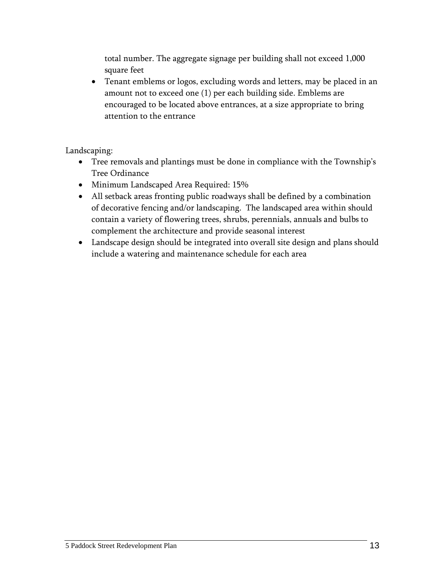total number. The aggregate signage per building shall not exceed 1,000 square feet

 Tenant emblems or logos, excluding words and letters, may be placed in an amount not to exceed one (1) per each building side. Emblems are encouraged to be located above entrances, at a size appropriate to bring attention to the entrance

Landscaping:

- Tree removals and plantings must be done in compliance with the Township's Tree Ordinance
- Minimum Landscaped Area Required: 15%
- All setback areas fronting public roadways shall be defined by a combination of decorative fencing and/or landscaping. The landscaped area within should contain a variety of flowering trees, shrubs, perennials, annuals and bulbs to complement the architecture and provide seasonal interest
- Landscape design should be integrated into overall site design and plans should include a watering and maintenance schedule for each area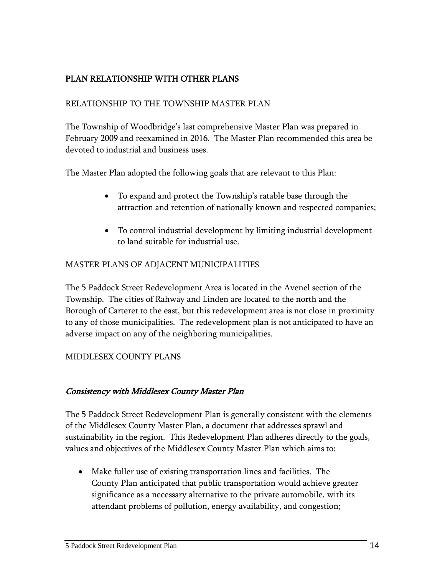## <span id="page-16-0"></span>PLAN RELATIONSHIP WITH OTHER PLANS

## RELATIONSHIP TO THE TOWNSHIP MASTER PLAN

The Township of Woodbridge's last comprehensive Master Plan was prepared in February 2009 and reexamined in 2016. The Master Plan recommended this area be devoted to industrial and business uses.

The Master Plan adopted the following goals that are relevant to this Plan:

- To expand and protect the Township's ratable base through the attraction and retention of nationally known and respected companies;
- To control industrial development by limiting industrial development to land suitable for industrial use.

## MASTER PLANS OF ADJACENT MUNICIPALITIES

The 5 Paddock Street Redevelopment Area is located in the Avenel section of the Township. The cities of Rahway and Linden are located to the north and the Borough of Carteret to the east, but this redevelopment area is not close in proximity to any of those municipalities. The redevelopment plan is not anticipated to have an adverse impact on any of the neighboring municipalities.

## MIDDLESEX COUNTY PLANS

## Consistency with Middlesex County Master Plan

The 5 Paddock Street Redevelopment Plan is generally consistent with the elements of the Middlesex County Master Plan, a document that addresses sprawl and sustainability in the region. This Redevelopment Plan adheres directly to the goals, values and objectives of the Middlesex County Master Plan which aims to:

 Make fuller use of existing transportation lines and facilities. The County Plan anticipated that public transportation would achieve greater significance as a necessary alternative to the private automobile, with its attendant problems of pollution, energy availability, and congestion;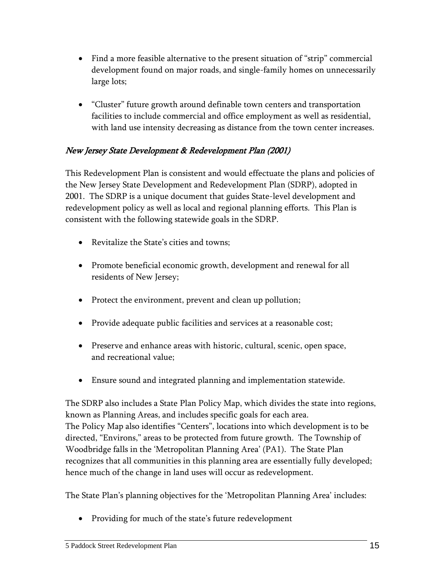- Find a more feasible alternative to the present situation of "strip" commercial development found on major roads, and single-family homes on unnecessarily large lots;
- "Cluster" future growth around definable town centers and transportation facilities to include commercial and office employment as well as residential, with land use intensity decreasing as distance from the town center increases.

## New Jersey State Development & Redevelopment Plan (2001)

This Redevelopment Plan is consistent and would effectuate the plans and policies of the New Jersey State Development and Redevelopment Plan (SDRP), adopted in 2001. The SDRP is a unique document that guides State-level development and redevelopment policy as well as local and regional planning efforts. This Plan is consistent with the following statewide goals in the SDRP.

- Revitalize the State's cities and towns;
- Promote beneficial economic growth, development and renewal for all residents of New Jersey;
- Protect the environment, prevent and clean up pollution;
- Provide adequate public facilities and services at a reasonable cost;
- Preserve and enhance areas with historic, cultural, scenic, open space, and recreational value;
- Ensure sound and integrated planning and implementation statewide.

The SDRP also includes a State Plan Policy Map, which divides the state into regions, known as Planning Areas, and includes specific goals for each area. The Policy Map also identifies "Centers", locations into which development is to be directed, "Environs," areas to be protected from future growth. The Township of Woodbridge falls in the 'Metropolitan Planning Area' (PA1). The State Plan recognizes that all communities in this planning area are essentially fully developed; hence much of the change in land uses will occur as redevelopment.

The State Plan's planning objectives for the 'Metropolitan Planning Area' includes:

• Providing for much of the state's future redevelopment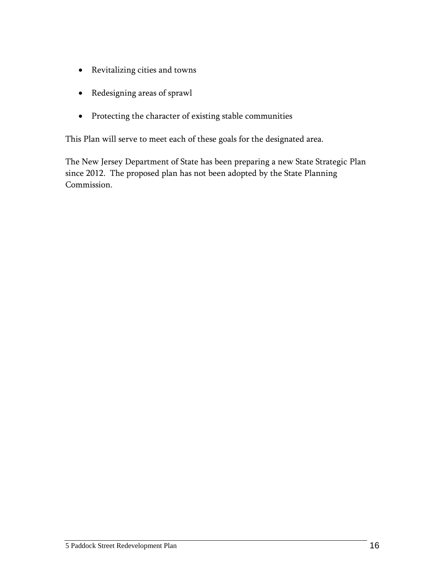- Revitalizing cities and towns
- Redesigning areas of sprawl
- Protecting the character of existing stable communities

This Plan will serve to meet each of these goals for the designated area.

The New Jersey Department of State has been preparing a new State Strategic Plan since 2012. The proposed plan has not been adopted by the State Planning Commission.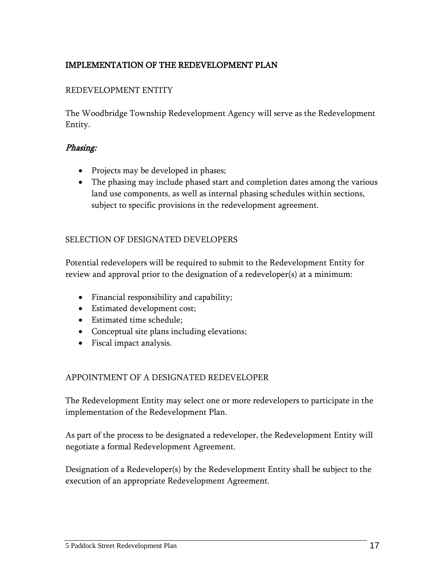## <span id="page-19-0"></span>IMPLEMENTATION OF THE REDEVELOPMENT PLAN

## REDEVELOPMENT ENTITY

The Woodbridge Township Redevelopment Agency will serve as the Redevelopment Entity.

#### Phasing:

- Projects may be developed in phases;
- The phasing may include phased start and completion dates among the various land use components, as well as internal phasing schedules within sections, subject to specific provisions in the redevelopment agreement.

#### SELECTION OF DESIGNATED DEVELOPERS

Potential redevelopers will be required to submit to the Redevelopment Entity for review and approval prior to the designation of a redeveloper(s) at a minimum:

- Financial responsibility and capability;
- Estimated development cost;
- Estimated time schedule;
- Conceptual site plans including elevations;
- Fiscal impact analysis.

## APPOINTMENT OF A DESIGNATED REDEVELOPER

The Redevelopment Entity may select one or more redevelopers to participate in the implementation of the Redevelopment Plan.

As part of the process to be designated a redeveloper, the Redevelopment Entity will negotiate a formal Redevelopment Agreement.

Designation of a Redeveloper(s) by the Redevelopment Entity shall be subject to the execution of an appropriate Redevelopment Agreement.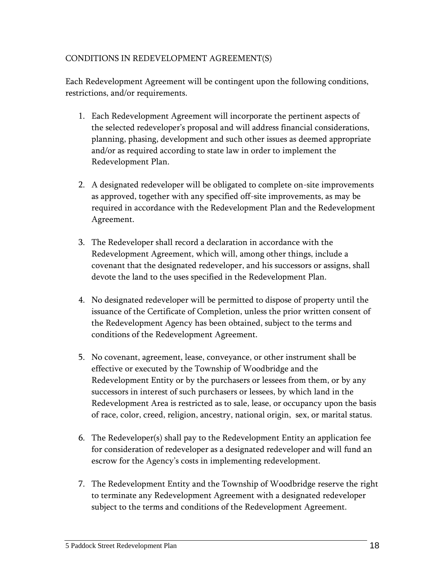## CONDITIONS IN REDEVELOPMENT AGREEMENT(S)

Each Redevelopment Agreement will be contingent upon the following conditions, restrictions, and/or requirements.

- 1. Each Redevelopment Agreement will incorporate the pertinent aspects of the selected redeveloper's proposal and will address financial considerations, planning, phasing, development and such other issues as deemed appropriate and/or as required according to state law in order to implement the Redevelopment Plan.
- 2. A designated redeveloper will be obligated to complete on-site improvements as approved, together with any specified off-site improvements, as may be required in accordance with the Redevelopment Plan and the Redevelopment Agreement.
- 3. The Redeveloper shall record a declaration in accordance with the Redevelopment Agreement, which will, among other things, include a covenant that the designated redeveloper, and his successors or assigns, shall devote the land to the uses specified in the Redevelopment Plan.
- 4. No designated redeveloper will be permitted to dispose of property until the issuance of the Certificate of Completion, unless the prior written consent of the Redevelopment Agency has been obtained, subject to the terms and conditions of the Redevelopment Agreement.
- 5. No covenant, agreement, lease, conveyance, or other instrument shall be effective or executed by the Township of Woodbridge and the Redevelopment Entity or by the purchasers or lessees from them, or by any successors in interest of such purchasers or lessees, by which land in the Redevelopment Area is restricted as to sale, lease, or occupancy upon the basis of race, color, creed, religion, ancestry, national origin, sex, or marital status.
- 6. The Redeveloper(s) shall pay to the Redevelopment Entity an application fee for consideration of redeveloper as a designated redeveloper and will fund an escrow for the Agency's costs in implementing redevelopment.
- 7. The Redevelopment Entity and the Township of Woodbridge reserve the right to terminate any Redevelopment Agreement with a designated redeveloper subject to the terms and conditions of the Redevelopment Agreement.